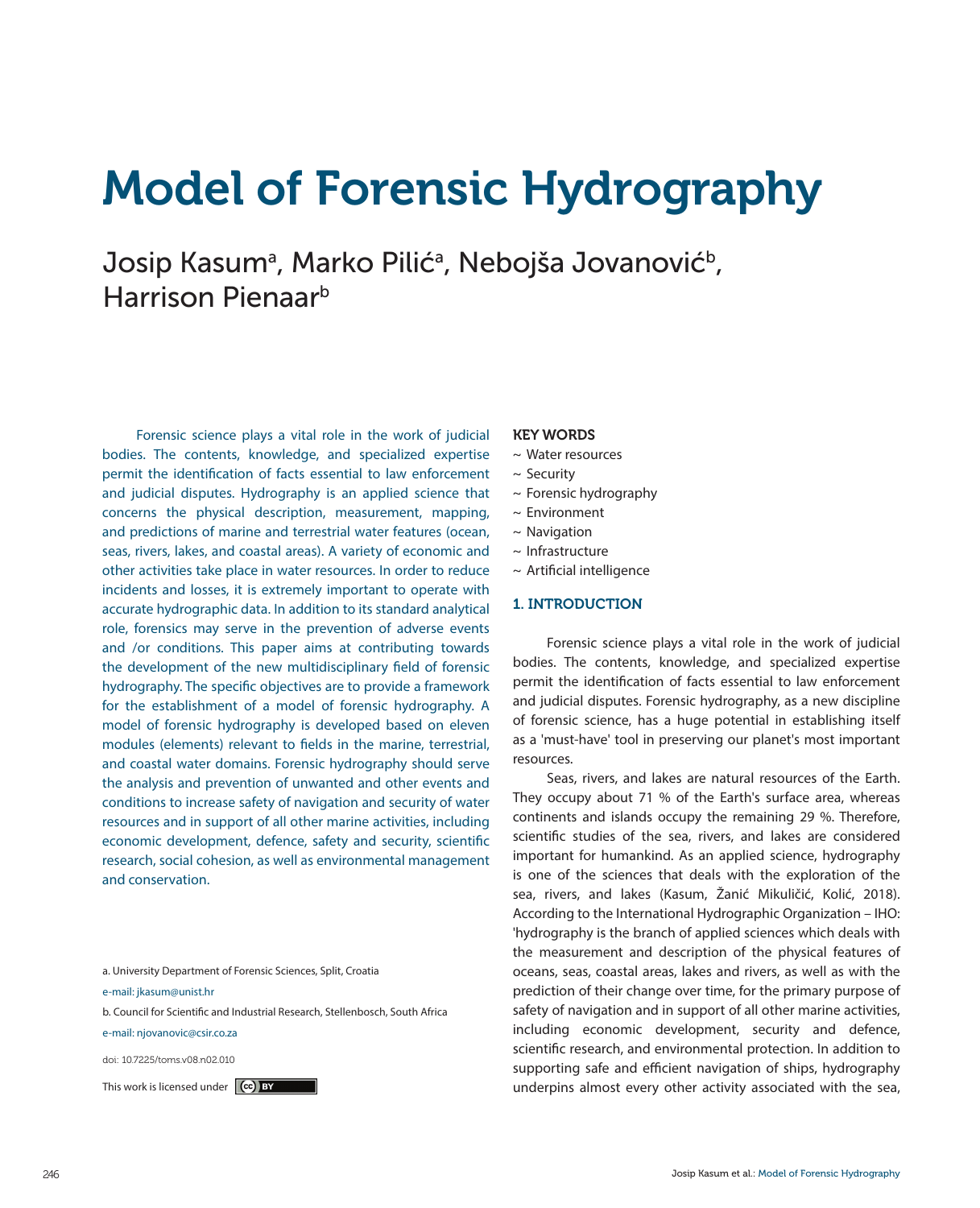# Model of Forensic Hydrography

Josip Kasumª, Marko Pilićª, Nebojša Jovanović<sup>ь</sup>, Harrison Pienaarb

Forensic science plays a vital role in the work of judicial bodies. The contents, knowledge, and specialized expertise permit the identification of facts essential to law enforcement and judicial disputes. Hydrography is an applied science that concerns the physical description, measurement, mapping, and predictions of marine and terrestrial water features (ocean, seas, rivers, lakes, and coastal areas). A variety of economic and other activities take place in water resources. In order to reduce incidents and losses, it is extremely important to operate with accurate hydrographic data. In addition to its standard analytical role, forensics may serve in the prevention of adverse events and /or conditions. This paper aims at contributing towards the development of the new multidisciplinary field of forensic hydrography. The specific objectives are to provide a framework for the establishment of a model of forensic hydrography. A model of forensic hydrography is developed based on eleven modules (elements) relevant to fields in the marine, terrestrial, and coastal water domains. Forensic hydrography should serve the analysis and prevention of unwanted and other events and conditions to increase safety of navigation and security of water resources and in support of all other marine activities, including economic development, defence, safety and security, scientific research, social cohesion, as well as environmental management and conservation.

a. University Department of Forensic Sciences, Split, Croatia

e-mail: jkasum@unist.hr

b. Council for Scientific and Industrial Research, Stellenbosch, South Africa e-mail: njovanovic@csir.co.za

doi: 10.7225/toms.v08.n02.010

#### KEY WORDS

- ~ Water resources
- $\sim$  Security
- $\sim$  Forensic hydrography
- ~ Environment
- $\sim$  Navigation
- ~ Infrastructure
- ~ Artificial intelligence

# 1. INTRODUCTION

Forensic science plays a vital role in the work of judicial bodies. The contents, knowledge, and specialized expertise permit the identification of facts essential to law enforcement and judicial disputes. Forensic hydrography, as a new discipline of forensic science, has a huge potential in establishing itself as a 'must-have' tool in preserving our planet's most important resources.

Seas, rivers, and lakes are natural resources of the Earth. They occupy about 71 % of the Earth's surface area, whereas continents and islands occupy the remaining 29 %. Therefore, scientific studies of the sea, rivers, and lakes are considered important for humankind. As an applied science, hydrography is one of the sciences that deals with the exploration of the sea, rivers, and lakes (Kasum, Žanić Mikuličić, Kolić, 2018). According to the International Hydrographic Organization – IHO: 'hydrography is the branch of applied sciences which deals with the measurement and description of the physical features of oceans, seas, coastal areas, lakes and rivers, as well as with the prediction of their change over time, for the primary purpose of safety of navigation and in support of all other marine activities, including economic development, security and defence, scientific research, and environmental protection. In addition to supporting safe and efficient navigation of ships, hydrography This work is licensed under  $\ket{\mathbf{G}}$  by the sea, and the sea, and the sea, and the sea, and the sea, and the sea, and the sea, and the sea, and the sea, and the sea, and the sea, and the sea, and the sea, and the sea, a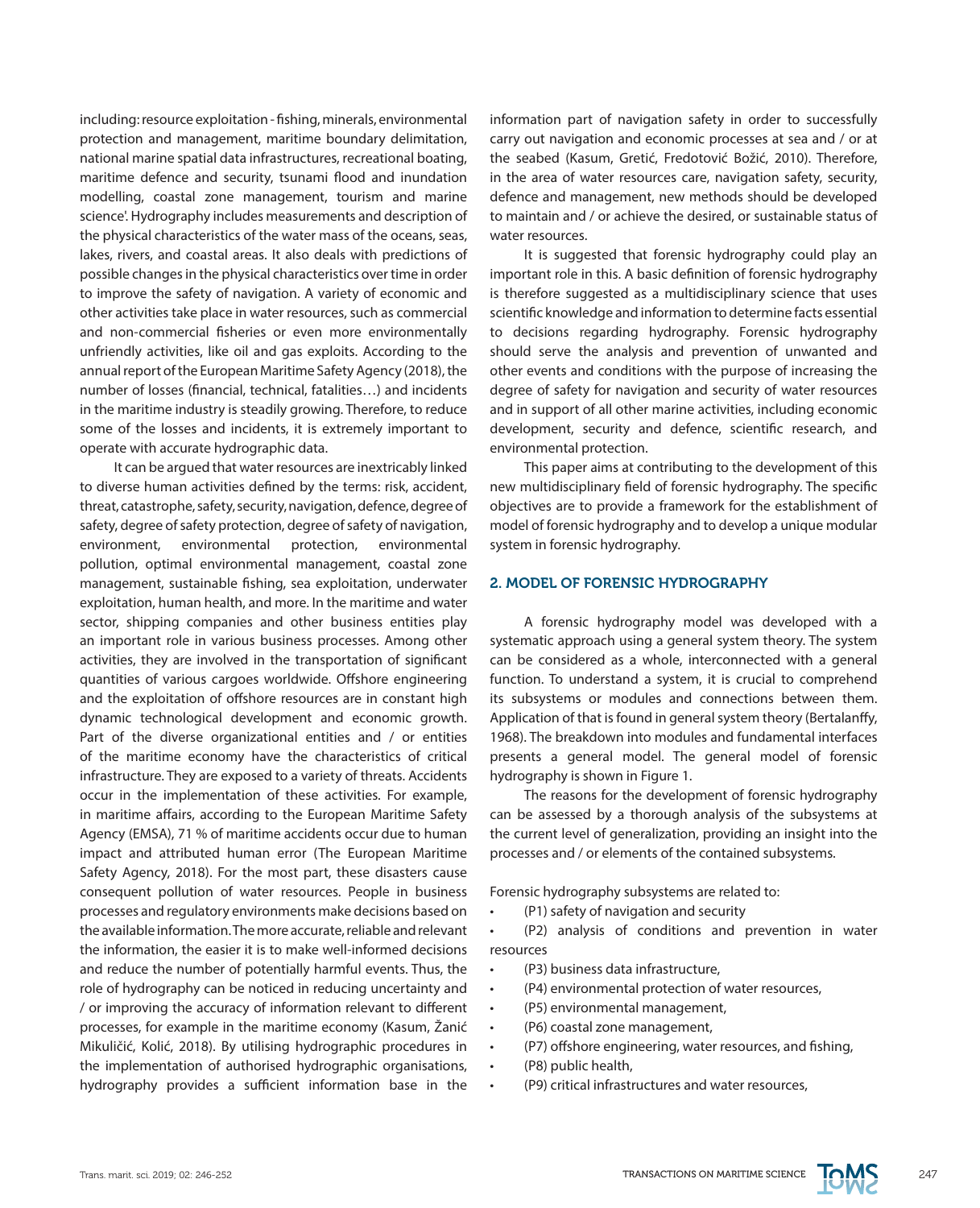including: resource exploitation - fishing, minerals, environmental protection and management, maritime boundary delimitation, national marine spatial data infrastructures, recreational boating, maritime defence and security, tsunami flood and inundation modelling, coastal zone management, tourism and marine science'. Hydrography includes measurements and description of the physical characteristics of the water mass of the oceans, seas, lakes, rivers, and coastal areas. It also deals with predictions of possible changes in the physical characteristics over time in order to improve the safety of navigation. A variety of economic and other activities take place in water resources, such as commercial and non-commercial fisheries or even more environmentally unfriendly activities, like oil and gas exploits. According to the annual report of the European Maritime Safety Agency (2018), the number of losses (financial, technical, fatalities…) and incidents in the maritime industry is steadily growing. Therefore, to reduce some of the losses and incidents, it is extremely important to operate with accurate hydrographic data.

It can be argued that water resources are inextricably linked to diverse human activities defined by the terms: risk, accident, threat, catastrophe, safety, security, navigation, defence, degree of safety, degree of safety protection, degree of safety of navigation, environment, environmental protection, environmental pollution, optimal environmental management, coastal zone management, sustainable fishing, sea exploitation, underwater exploitation, human health, and more. In the maritime and water sector, shipping companies and other business entities play an important role in various business processes. Among other activities, they are involved in the transportation of significant quantities of various cargoes worldwide. Offshore engineering and the exploitation of offshore resources are in constant high dynamic technological development and economic growth. Part of the diverse organizational entities and / or entities of the maritime economy have the characteristics of critical infrastructure. They are exposed to a variety of threats. Accidents occur in the implementation of these activities. For example, in maritime affairs, according to the European Maritime Safety Agency (EMSA), 71 % of maritime accidents occur due to human impact and attributed human error (The European Maritime Safety Agency, 2018). For the most part, these disasters cause consequent pollution of water resources. People in business processes and regulatory environments make decisions based on the available information. The more accurate, reliable and relevant the information, the easier it is to make well-informed decisions and reduce the number of potentially harmful events. Thus, the role of hydrography can be noticed in reducing uncertainty and / or improving the accuracy of information relevant to different processes, for example in the maritime economy (Kasum, Žanić Mikuličić, Kolić, 2018). By utilising hydrographic procedures in the implementation of authorised hydrographic organisations, hydrography provides a sufficient information base in the information part of navigation safety in order to successfully carry out navigation and economic processes at sea and / or at the seabed (Kasum, Gretić, Fredotović Božić, 2010). Therefore, in the area of water resources care, navigation safety, security, defence and management, new methods should be developed to maintain and / or achieve the desired, or sustainable status of water resources.

It is suggested that forensic hydrography could play an important role in this. A basic definition of forensic hydrography is therefore suggested as a multidisciplinary science that uses scientific knowledge and information to determine facts essential to decisions regarding hydrography. Forensic hydrography should serve the analysis and prevention of unwanted and other events and conditions with the purpose of increasing the degree of safety for navigation and security of water resources and in support of all other marine activities, including economic development, security and defence, scientific research, and environmental protection.

This paper aims at contributing to the development of this new multidisciplinary field of forensic hydrography. The specific objectives are to provide a framework for the establishment of model of forensic hydrography and to develop a unique modular system in forensic hydrography.

# 2. MODEL OF FORENSIC HYDROGRAPHY

A forensic hydrography model was developed with a systematic approach using a general system theory. The system can be considered as a whole, interconnected with a general function. To understand a system, it is crucial to comprehend its subsystems or modules and connections between them. Application of that is found in general system theory (Bertalanffy, 1968). The breakdown into modules and fundamental interfaces presents a general model. The general model of forensic hydrography is shown in Figure 1.

The reasons for the development of forensic hydrography can be assessed by a thorough analysis of the subsystems at the current level of generalization, providing an insight into the processes and / or elements of the contained subsystems.

Forensic hydrography subsystems are related to:

(P1) safety of navigation and security

(P2) analysis of conditions and prevention in water resources

- • (P3) business data infrastructure,
- (P4) environmental protection of water resources,
- • (P5) environmental management,
- (P6) coastal zone management,
- (P7) offshore engineering, water resources, and fishing,
- • (P8) public health,
- • (P9) critical infrastructures and water resources,

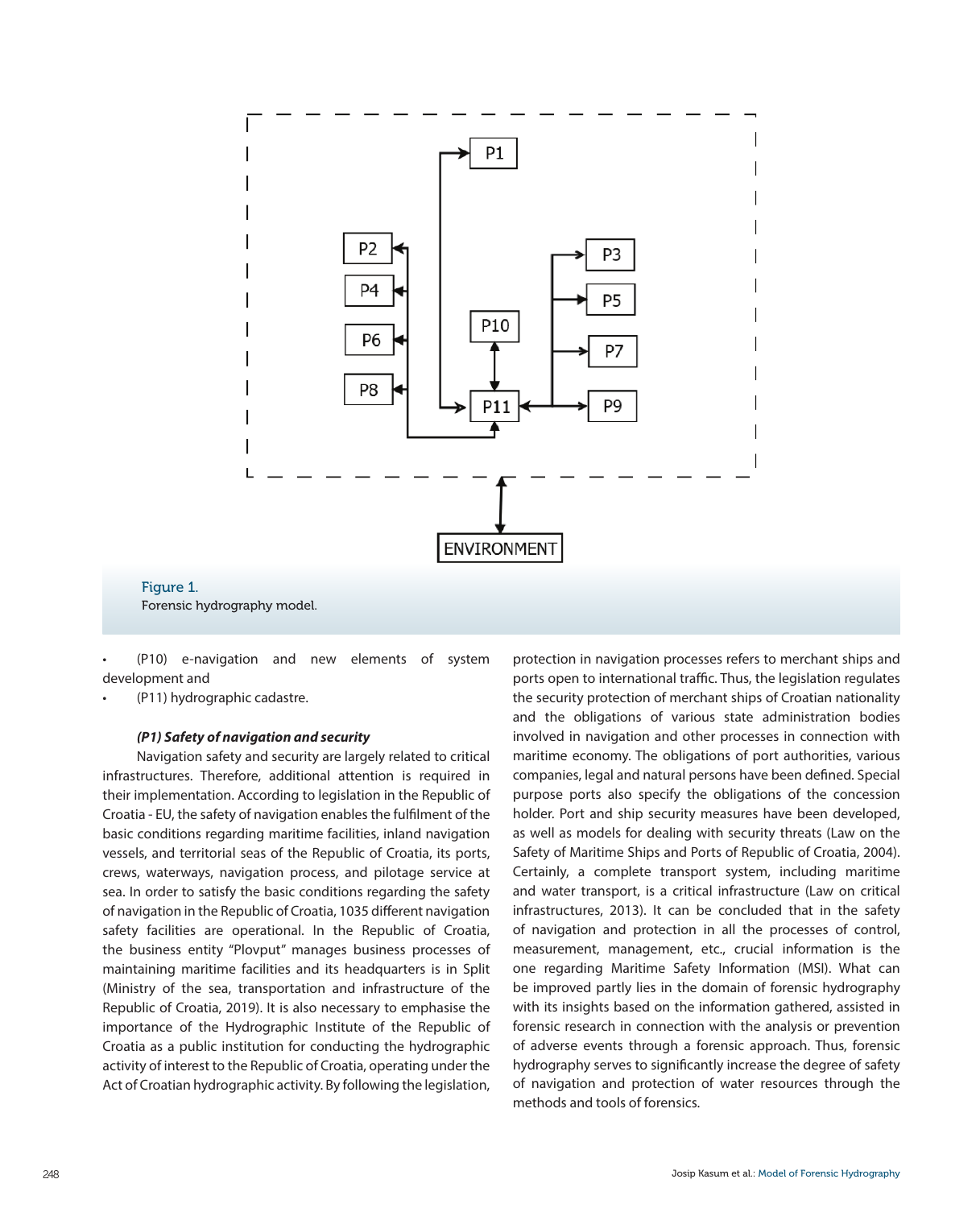

Forensic hydrography model.

(P10) e-navigation and new elements of system development and

(P11) hydrographic cadastre.

Figure 1.

# *(P1) Safety of navigation and security*

Navigation safety and security are largely related to critical infrastructures. Therefore, additional attention is required in their implementation. According to legislation in the Republic of Croatia - EU, the safety of navigation enables the fulfilment of the basic conditions regarding maritime facilities, inland navigation vessels, and territorial seas of the Republic of Croatia, its ports, crews, waterways, navigation process, and pilotage service at sea. In order to satisfy the basic conditions regarding the safety of navigation in the Republic of Croatia, 1035 different navigation safety facilities are operational. In the Republic of Croatia, the business entity "Plovput" manages business processes of maintaining maritime facilities and its headquarters is in Split (Ministry of the sea, transportation and infrastructure of the Republic of Croatia, 2019). It is also necessary to emphasise the importance of the Hydrographic Institute of the Republic of Croatia as a public institution for conducting the hydrographic activity of interest to the Republic of Croatia, operating under the Act of Croatian hydrographic activity. By following the legislation,

protection in navigation processes refers to merchant ships and ports open to international traffic. Thus, the legislation regulates the security protection of merchant ships of Croatian nationality and the obligations of various state administration bodies involved in navigation and other processes in connection with maritime economy. The obligations of port authorities, various companies, legal and natural persons have been defined. Special purpose ports also specify the obligations of the concession holder. Port and ship security measures have been developed, as well as models for dealing with security threats (Law on the Safety of Maritime Ships and Ports of Republic of Croatia, 2004). Certainly, a complete transport system, including maritime and water transport, is a critical infrastructure (Law on critical infrastructures, 2013). It can be concluded that in the safety of navigation and protection in all the processes of control, measurement, management, etc., crucial information is the one regarding Maritime Safety Information (MSI). What can be improved partly lies in the domain of forensic hydrography with its insights based on the information gathered, assisted in forensic research in connection with the analysis or prevention of adverse events through a forensic approach. Thus, forensic hydrography serves to significantly increase the degree of safety of navigation and protection of water resources through the methods and tools of forensics.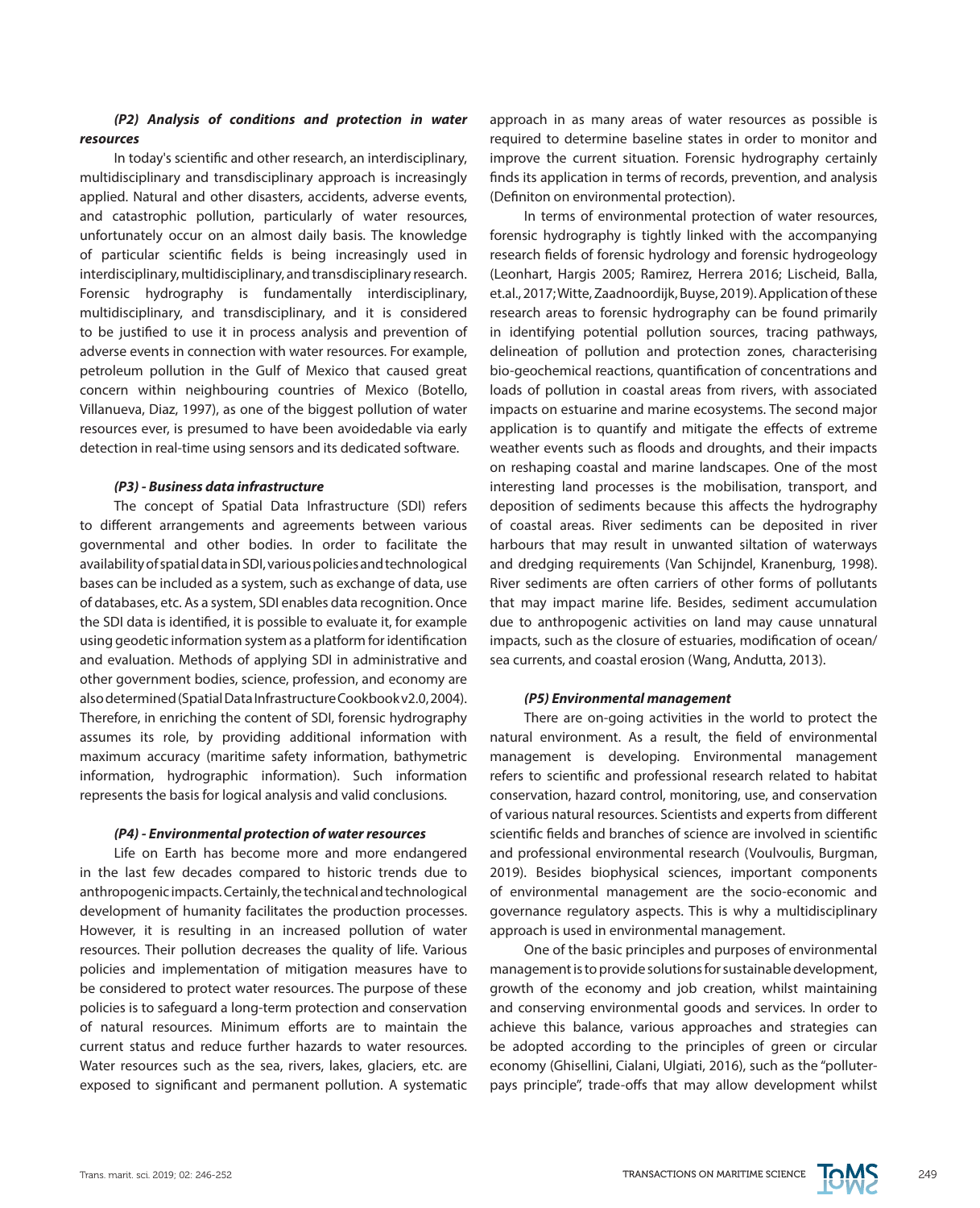# *(P2) Analysis of conditions and protection in water resources*

In today's scientific and other research, an interdisciplinary, multidisciplinary and transdisciplinary approach is increasingly applied. Natural and other disasters, accidents, adverse events, and catastrophic pollution, particularly of water resources, unfortunately occur on an almost daily basis. The knowledge of particular scientific fields is being increasingly used in interdisciplinary, multidisciplinary, and transdisciplinary research. Forensic hydrography is fundamentally interdisciplinary, multidisciplinary, and transdisciplinary, and it is considered to be justified to use it in process analysis and prevention of adverse events in connection with water resources. For example, petroleum pollution in the Gulf of Mexico that caused great concern within neighbouring countries of Mexico (Botello, Villanueva, Diaz, 1997), as one of the biggest pollution of water resources ever, is presumed to have been avoidedable via early detection in real-time using sensors and its dedicated software.

## *(P3) - Business data infrastructure*

The concept of Spatial Data Infrastructure (SDI) refers to different arrangements and agreements between various governmental and other bodies. In order to facilitate the availability of spatial data in SDI, various policies and technological bases can be included as a system, such as exchange of data, use of databases, etc. As a system, SDI enables data recognition. Once the SDI data is identified, it is possible to evaluate it, for example using geodetic information system as a platform for identification and evaluation. Methods of applying SDI in administrative and other government bodies, science, profession, and economy are also determined (Spatial Data Infrastructure Cookbook v2.0, 2004). Therefore, in enriching the content of SDI, forensic hydrography assumes its role, by providing additional information with maximum accuracy (maritime safety information, bathymetric information, hydrographic information). Such information represents the basis for logical analysis and valid conclusions.

## *(P4) - Environmental protection of water resources*

Life on Earth has become more and more endangered in the last few decades compared to historic trends due to anthropogenic impacts. Certainly, the technical and technological development of humanity facilitates the production processes. However, it is resulting in an increased pollution of water resources. Their pollution decreases the quality of life. Various policies and implementation of mitigation measures have to be considered to protect water resources. The purpose of these policies is to safeguard a long-term protection and conservation of natural resources. Minimum efforts are to maintain the current status and reduce further hazards to water resources. Water resources such as the sea, rivers, lakes, glaciers, etc. are exposed to significant and permanent pollution. A systematic approach in as many areas of water resources as possible is required to determine baseline states in order to monitor and improve the current situation. Forensic hydrography certainly finds its application in terms of records, prevention, and analysis (Definiton on environmental protection).

In terms of environmental protection of water resources, forensic hydrography is tightly linked with the accompanying research fields of forensic hydrology and forensic hydrogeology (Leonhart, Hargis 2005; Ramirez, Herrera 2016; Lischeid, Balla, et.al., 2017; Witte, Zaadnoordijk, Buyse, 2019). Application of these research areas to forensic hydrography can be found primarily in identifying potential pollution sources, tracing pathways, delineation of pollution and protection zones, characterising bio-geochemical reactions, quantification of concentrations and loads of pollution in coastal areas from rivers, with associated impacts on estuarine and marine ecosystems. The second major application is to quantify and mitigate the effects of extreme weather events such as floods and droughts, and their impacts on reshaping coastal and marine landscapes. One of the most interesting land processes is the mobilisation, transport, and deposition of sediments because this affects the hydrography of coastal areas. River sediments can be deposited in river harbours that may result in unwanted siltation of waterways and dredging requirements (Van Schijndel, Kranenburg, 1998). River sediments are often carriers of other forms of pollutants that may impact marine life. Besides, sediment accumulation due to anthropogenic activities on land may cause unnatural impacts, such as the closure of estuaries, modification of ocean/ sea currents, and coastal erosion (Wang, Andutta, 2013).

#### *(P5) Environmental management*

There are on-going activities in the world to protect the natural environment. As a result, the field of environmental management is developing. Environmental management refers to scientific and professional research related to habitat conservation, hazard control, monitoring, use, and conservation of various natural resources. Scientists and experts from different scientific fields and branches of science are involved in scientific and professional environmental research (Voulvoulis, Burgman, 2019). Besides biophysical sciences, important components of environmental management are the socio-economic and governance regulatory aspects. This is why a multidisciplinary approach is used in environmental management.

One of the basic principles and purposes of environmental management is to provide solutions for sustainable development, growth of the economy and job creation, whilst maintaining and conserving environmental goods and services. In order to achieve this balance, various approaches and strategies can be adopted according to the principles of green or circular economy (Ghisellini, Cialani, Ulgiati, 2016), such as the "polluterpays principle", trade-offs that may allow development whilst

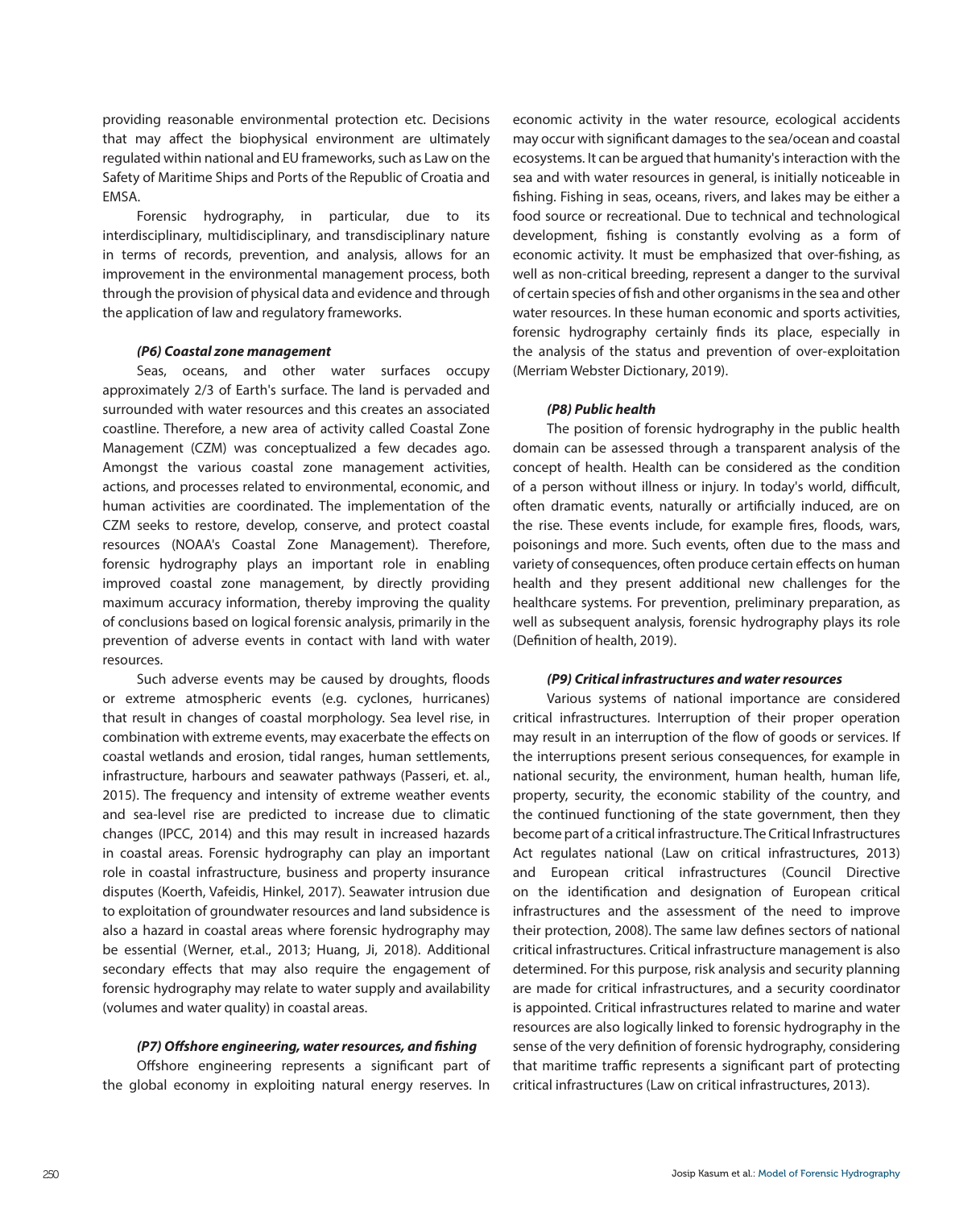providing reasonable environmental protection etc. Decisions that may affect the biophysical environment are ultimately regulated within national and EU frameworks, such as Law on the Safety of Maritime Ships and Ports of the Republic of Croatia and EMSA.

Forensic hydrography, in particular, due to its interdisciplinary, multidisciplinary, and transdisciplinary nature in terms of records, prevention, and analysis, allows for an improvement in the environmental management process, both through the provision of physical data and evidence and through the application of law and regulatory frameworks.

#### *(P6) Coastal zone management*

Seas, oceans, and other water surfaces occupy approximately 2/3 of Earth's surface. The land is pervaded and surrounded with water resources and this creates an associated coastline. Therefore, a new area of activity called Coastal Zone Management (CZM) was conceptualized a few decades ago. Amongst the various coastal zone management activities, actions, and processes related to environmental, economic, and human activities are coordinated. The implementation of the CZM seeks to restore, develop, conserve, and protect coastal resources (NOAA's Coastal Zone Management). Therefore, forensic hydrography plays an important role in enabling improved coastal zone management, by directly providing maximum accuracy information, thereby improving the quality of conclusions based on logical forensic analysis, primarily in the prevention of adverse events in contact with land with water resources.

Such adverse events may be caused by droughts, floods or extreme atmospheric events (e.g. cyclones, hurricanes) that result in changes of coastal morphology. Sea level rise, in combination with extreme events, may exacerbate the effects on coastal wetlands and erosion, tidal ranges, human settlements, infrastructure, harbours and seawater pathways (Passeri, et. al., 2015). The frequency and intensity of extreme weather events and sea-level rise are predicted to increase due to climatic changes (IPCC, 2014) and this may result in increased hazards in coastal areas. Forensic hydrography can play an important role in coastal infrastructure, business and property insurance disputes (Koerth, Vafeidis, Hinkel, 2017). Seawater intrusion due to exploitation of groundwater resources and land subsidence is also a hazard in coastal areas where forensic hydrography may be essential (Werner, et.al., 2013; Huang, Ji, 2018). Additional secondary effects that may also require the engagement of forensic hydrography may relate to water supply and availability (volumes and water quality) in coastal areas.

#### *(P7) Offshore engineering, water resources, and fishing*

Offshore engineering represents a significant part of the global economy in exploiting natural energy reserves. In

economic activity in the water resource, ecological accidents may occur with significant damages to the sea/ocean and coastal ecosystems. It can be argued that humanity's interaction with the sea and with water resources in general, is initially noticeable in fishing. Fishing in seas, oceans, rivers, and lakes may be either a food source or recreational. Due to technical and technological development, fishing is constantly evolving as a form of economic activity. It must be emphasized that over-fishing, as well as non-critical breeding, represent a danger to the survival of certain species of fish and other organisms in the sea and other water resources. In these human economic and sports activities, forensic hydrography certainly finds its place, especially in the analysis of the status and prevention of over-exploitation (Merriam Webster Dictionary, 2019).

# *(P8) Public health*

The position of forensic hydrography in the public health domain can be assessed through a transparent analysis of the concept of health. Health can be considered as the condition of a person without illness or injury. In today's world, difficult, often dramatic events, naturally or artificially induced, are on the rise. These events include, for example fires, floods, wars, poisonings and more. Such events, often due to the mass and variety of consequences, often produce certain effects on human health and they present additional new challenges for the healthcare systems. For prevention, preliminary preparation, as well as subsequent analysis, forensic hydrography plays its role (Definition of health, 2019).

#### *(P9) Critical infrastructures and water resources*

Various systems of national importance are considered critical infrastructures. Interruption of their proper operation may result in an interruption of the flow of goods or services. If the interruptions present serious consequences, for example in national security, the environment, human health, human life, property, security, the economic stability of the country, and the continued functioning of the state government, then they become part of a critical infrastructure. The Critical Infrastructures Act regulates national (Law on critical infrastructures, 2013) and European critical infrastructures (Council Directive on the identification and designation of European critical infrastructures and the assessment of the need to improve their protection, 2008). The same law defines sectors of national critical infrastructures. Critical infrastructure management is also determined. For this purpose, risk analysis and security planning are made for critical infrastructures, and a security coordinator is appointed. Critical infrastructures related to marine and water resources are also logically linked to forensic hydrography in the sense of the very definition of forensic hydrography, considering that maritime traffic represents a significant part of protecting critical infrastructures (Law on critical infrastructures, 2013).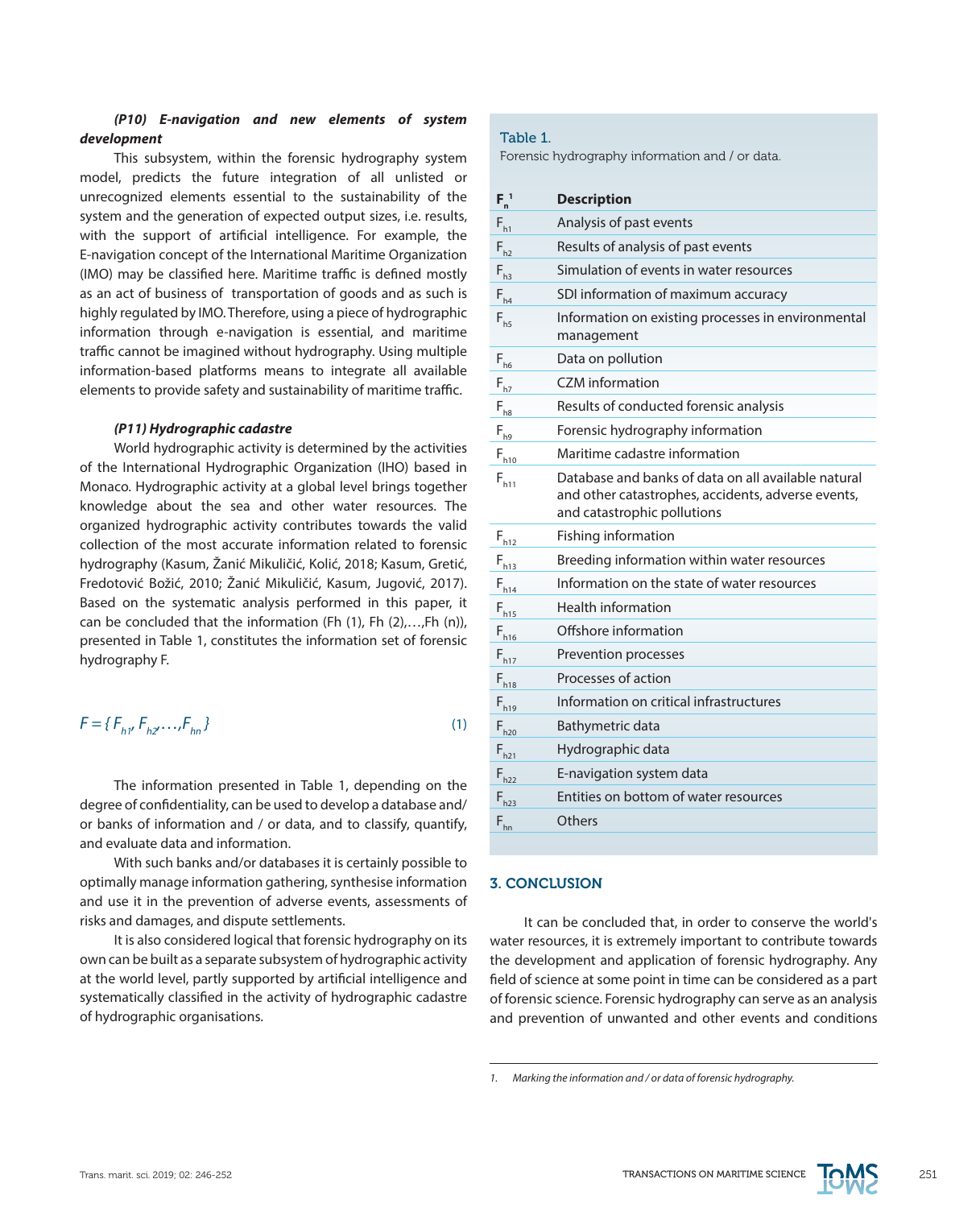# *(P10) E-navigation and new elements of system development*

This subsystem, within the forensic hydrography system model, predicts the future integration of all unlisted or unrecognized elements essential to the sustainability of the system and the generation of expected output sizes, i.e. results, with the support of artificial intelligence. For example, the E-navigation concept of the International Maritime Organization (IMO) may be classified here. Maritime traffic is defined mostly as an act of business of transportation of goods and as such is highly regulated by IMO. Therefore, using a piece of hydrographic information through e-navigation is essential, and maritime traffic cannot be imagined without hydrography. Using multiple information-based platforms means to integrate all available elements to provide safety and sustainability of maritime traffic.

# *(P11) Hydrographic cadastre*

World hydrographic activity is determined by the activities of the International Hydrographic Organization (IHO) based in Monaco. Hydrographic activity at a global level brings together knowledge about the sea and other water resources. The organized hydrographic activity contributes towards the valid collection of the most accurate information related to forensic hydrography (Kasum, Žanić Mikuličić, Kolić, 2018; Kasum, Gretić, Fredotović Božić, 2010; Žanić Mikuličić, Kasum, Jugović, 2017). Based on the systematic analysis performed in this paper, it can be concluded that the information (Fh (1), Fh (2),…,Fh (n)), presented in Table 1, constitutes the information set of forensic hydrography F.

$$
F = \{F_{h1'}F_{h2'}\dots F_{hn}\}\tag{1}
$$

The information presented in Table 1, depending on the degree of confidentiality, can be used to develop a database and/ or banks of information and / or data, and to classify, quantify, and evaluate data and information.

With such banks and/or databases it is certainly possible to optimally manage information gathering, synthesise information and use it in the prevention of adverse events, assessments of risks and damages, and dispute settlements.

It is also considered logical that forensic hydrography on its own can be built as a separate subsystem of hydrographic activity at the world level, partly supported by artificial intelligence and systematically classified in the activity of hydrographic cadastre of hydrographic organisations.

## Table 1.

Forensic hydrography information and / or data.

| $F_n^{-1}$ | <b>Description</b>                                                                                                                       |
|------------|------------------------------------------------------------------------------------------------------------------------------------------|
| $F_{h1}$   | Analysis of past events                                                                                                                  |
| $F_{h2}$   | Results of analysis of past events                                                                                                       |
| $F_{h3}$   | Simulation of events in water resources                                                                                                  |
| $F_{h4}$   | SDI information of maximum accuracy                                                                                                      |
| $F_{hs}$   | Information on existing processes in environmental<br>management                                                                         |
| $F_{h6}$   | Data on pollution                                                                                                                        |
| $F_{h7}$   | <b>CZM</b> information                                                                                                                   |
| $F_{h8}$   | Results of conducted forensic analysis                                                                                                   |
| $F_{h9}$   | Forensic hydrography information                                                                                                         |
| $F_{h10}$  | Maritime cadastre information                                                                                                            |
| $F_{h11}$  | Database and banks of data on all available natural<br>and other catastrophes, accidents, adverse events,<br>and catastrophic pollutions |
| $F_{h12}$  | Fishing information                                                                                                                      |
| $F_{h13}$  | Breeding information within water resources                                                                                              |
| $F_{h14}$  | Information on the state of water resources                                                                                              |
| $F_{h15}$  | <b>Health information</b>                                                                                                                |
| $F_{h16}$  | Offshore information                                                                                                                     |
| $F_{h17}$  | Prevention processes                                                                                                                     |
| $F_{h18}$  | Processes of action                                                                                                                      |
| $F_{h19}$  | Information on critical infrastructures                                                                                                  |
| $F_{h20}$  | Bathymetric data                                                                                                                         |
| $F_{h21}$  | Hydrographic data                                                                                                                        |
| $F_{h22}$  | E-navigation system data                                                                                                                 |
| $F_{h23}$  | Entities on bottom of water resources                                                                                                    |
| $F_{hn}$   | Others                                                                                                                                   |

# 3. CONCLUSION

It can be concluded that, in order to conserve the world's water resources, it is extremely important to contribute towards the development and application of forensic hydrography. Any field of science at some point in time can be considered as a part of forensic science. Forensic hydrography can serve as an analysis and prevention of unwanted and other events and conditions



*<sup>1.</sup> Marking the information and / or data of forensic hydrography.*